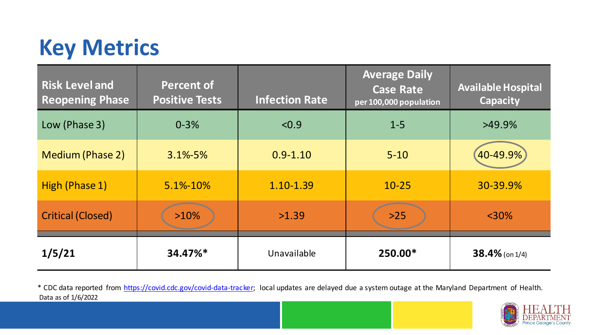## **Key Metrics**

| <b>Risk Level and</b><br><b>Reopening Phase</b> | <b>Percent of</b><br><b>Positive Tests</b> | <b>Infection Rate</b> | <b>Average Daily</b><br><b>Case Rate</b><br>per 100,000 population | <b>Available Hospital</b><br><b>Capacity</b> |
|-------------------------------------------------|--------------------------------------------|-----------------------|--------------------------------------------------------------------|----------------------------------------------|
| Low (Phase 3)                                   | $0 - 3%$                                   | < 0.9                 | $1 - 5$                                                            | $>49.9\%$                                    |
| Medium (Phase 2)                                | $3.1\% - 5\%$                              | $0.9 - 1.10$          | $5 - 10$                                                           | 40-49.9%                                     |
| High (Phase 1)                                  | 5.1%-10%                                   | $1.10 - 1.39$         | $10 - 25$                                                          | 30-39.9%                                     |
| <b>Critical (Closed)</b>                        | $>10\%$                                    | >1.39                 | $>25$                                                              | $<$ 30%                                      |
| 1/5/21                                          | 34.47%*                                    | Unavailable           | 250.00*                                                            | $38.4\%$ (on 1/4)                            |

Data as of 1/6/2022 \* CDC data reported from [https://covid.cdc.gov/covid-data-tracker;](https://covid.cdc.gov/covid-data-tracker) local updates are delayed due a system outage at the Maryland Department of Health.

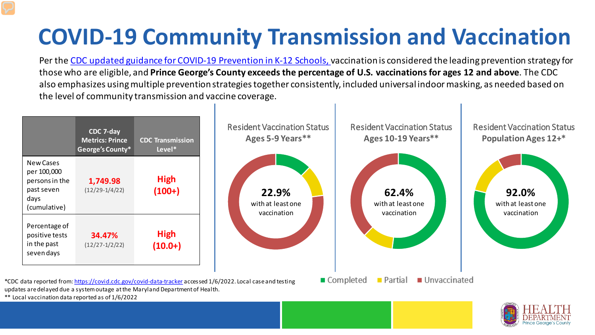## **COVID-19 Community Transmission and Vaccination**

Per the [CDC updated guidance for COVID-19 Prevention in K-12 Schools, v](https://www.cdc.gov/coronavirus/2019-ncov/community/schools-childcare/k-12-guidance.html)accination is considered the leading prevention strategy for those who are eligible, and **Prince George's County exceeds the percentage of U.S. vaccinations for ages 12 and above**. The CDC also emphasizes using multiple prevention strategies together consistently, included universal indoor masking, as needed based on the level of community transmission and vaccine coverage.





\*\* Local vaccination data reported as of 1/6/2022